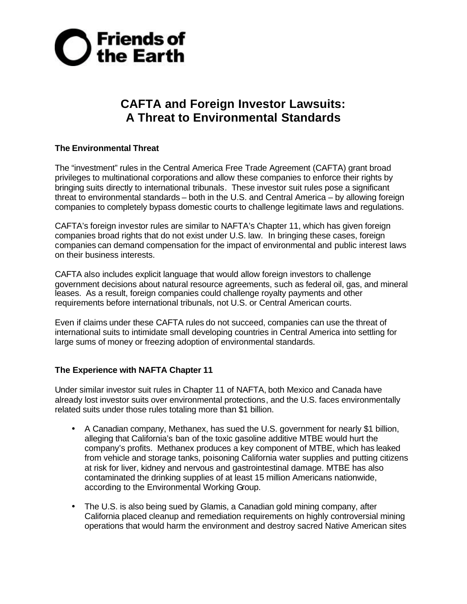

## **CAFTA and Foreign Investor Lawsuits: A Threat to Environmental Standards**

## **The Environmental Threat**

The "investment" rules in the Central America Free Trade Agreement (CAFTA) grant broad privileges to multinational corporations and allow these companies to enforce their rights by bringing suits directly to international tribunals. These investor suit rules pose a significant threat to environmental standards – both in the U.S. and Central America – by allowing foreign companies to completely bypass domestic courts to challenge legitimate laws and regulations.

CAFTA's foreign investor rules are similar to NAFTA's Chapter 11, which has given foreign companies broad rights that do not exist under U.S. law. In bringing these cases, foreign companies can demand compensation for the impact of environmental and public interest laws on their business interests.

CAFTA also includes explicit language that would allow foreign investors to challenge government decisions about natural resource agreements, such as federal oil, gas, and mineral leases. As a result, foreign companies could challenge royalty payments and other requirements before international tribunals, not U.S. or Central American courts.

Even if claims under these CAFTA rules do not succeed, companies can use the threat of international suits to intimidate small developing countries in Central America into settling for large sums of money or freezing adoption of environmental standards.

## **The Experience with NAFTA Chapter 11**

Under similar investor suit rules in Chapter 11 of NAFTA, both Mexico and Canada have already lost investor suits over environmental protections, and the U.S. faces environmentally related suits under those rules totaling more than \$1 billion.

- A Canadian company, Methanex, has sued the U.S. government for nearly \$1 billion, alleging that California's ban of the toxic gasoline additive MTBE would hurt the company's profits. Methanex produces a key component of MTBE, which has leaked from vehicle and storage tanks, poisoning California water supplies and putting citizens at risk for liver, kidney and nervous and gastrointestinal damage. MTBE has also contaminated the drinking supplies of at least 15 million Americans nationwide, according to the Environmental Working Group.
- The U.S. is also being sued by Glamis, a Canadian gold mining company, after California placed cleanup and remediation requirements on highly controversial mining operations that would harm the environment and destroy sacred Native American sites